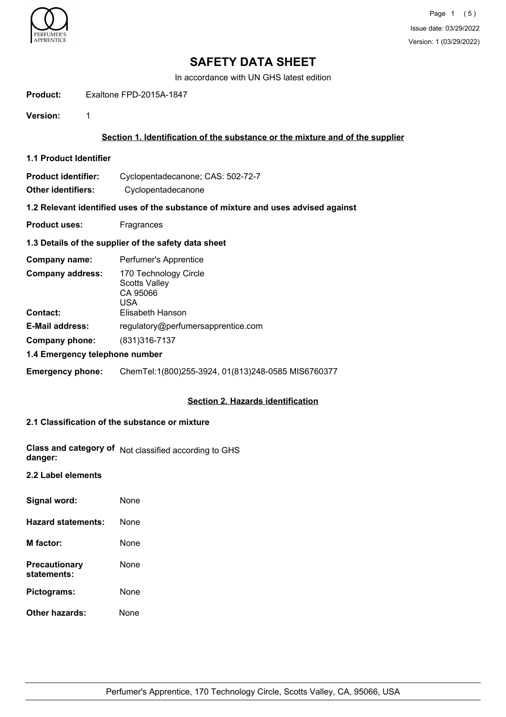

In accordance with UN GHS latest edition

**Product:** Exaltone FPD-2015A-1847

**Version:** 1

# **Section 1. Identification of the substance or the mixture and of the supplier**

- **1.1 Product Identifier**
- **Product identifier:** Cyclopentadecanone; CAS: 502-72-7
- **Other identifiers:** Cyclopentadecanone

# **1.2 Relevant identified uses of the substance of mixture and uses advised against**

**Product uses:** Fragrances

## **1.3 Details of the supplier of the safety data sheet**

| Company name:                  | Perfumer's Apprentice                                            |
|--------------------------------|------------------------------------------------------------------|
| <b>Company address:</b>        | 170 Technology Circle<br><b>Scotts Valley</b><br>CA 95066<br>USA |
| <b>Contact:</b>                | Elisabeth Hanson                                                 |
| <b>E-Mail address:</b>         | regulatory@perfumersapprentice.com                               |
| Company phone:                 | (831) 316-7137                                                   |
| 1.4 Emergency telephone number |                                                                  |

**Emergency phone:** ChemTel:1(800)255-3924, 01(813)248-0585 MIS6760377

## **Section 2. Hazards identification**

## **2.1 Classification of the substance or mixture**

|         | Class and category of Not classified according to GHS |
|---------|-------------------------------------------------------|
| danger: |                                                       |

#### **2.2 Label elements**

| Signal word:                        | None |
|-------------------------------------|------|
| <b>Hazard statements:</b>           | None |
| M factor:                           | None |
| <b>Precautionary</b><br>statements: | None |
| Pictograms:                         | None |
| <b>Other hazards:</b>               | None |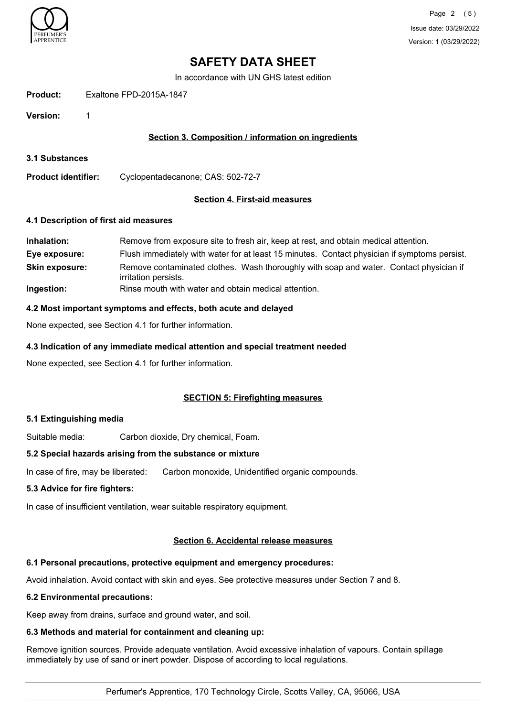

In accordance with UN GHS latest edition

**Product:** Exaltone FPD-2015A-1847

**Version:** 1

# **Section 3. Composition / information on ingredients**

**3.1 Substances**

**Product identifier:** Cyclopentadecanone; CAS: 502-72-7

## **Section 4. First-aid measures**

#### **4.1 Description of first aid measures**

| Inhalation:           | Remove from exposure site to fresh air, keep at rest, and obtain medical attention.                            |
|-----------------------|----------------------------------------------------------------------------------------------------------------|
| Eye exposure:         | Flush immediately with water for at least 15 minutes. Contact physician if symptoms persist.                   |
| <b>Skin exposure:</b> | Remove contaminated clothes. Wash thoroughly with soap and water. Contact physician if<br>irritation persists. |
| Ingestion:            | Rinse mouth with water and obtain medical attention.                                                           |

### **4.2 Most important symptoms and effects, both acute and delayed**

None expected, see Section 4.1 for further information.

### **4.3 Indication of any immediate medical attention and special treatment needed**

None expected, see Section 4.1 for further information.

## **SECTION 5: Firefighting measures**

#### **5.1 Extinguishing media**

Suitable media: Carbon dioxide, Dry chemical, Foam.

#### **5.2 Special hazards arising from the substance or mixture**

In case of fire, may be liberated: Carbon monoxide, Unidentified organic compounds.

### **5.3 Advice for fire fighters:**

In case of insufficient ventilation, wear suitable respiratory equipment.

#### **Section 6. Accidental release measures**

## **6.1 Personal precautions, protective equipment and emergency procedures:**

Avoid inhalation. Avoid contact with skin and eyes. See protective measures under Section 7 and 8.

#### **6.2 Environmental precautions:**

Keep away from drains, surface and ground water, and soil.

#### **6.3 Methods and material for containment and cleaning up:**

Remove ignition sources. Provide adequate ventilation. Avoid excessive inhalation of vapours. Contain spillage immediately by use of sand or inert powder. Dispose of according to local regulations.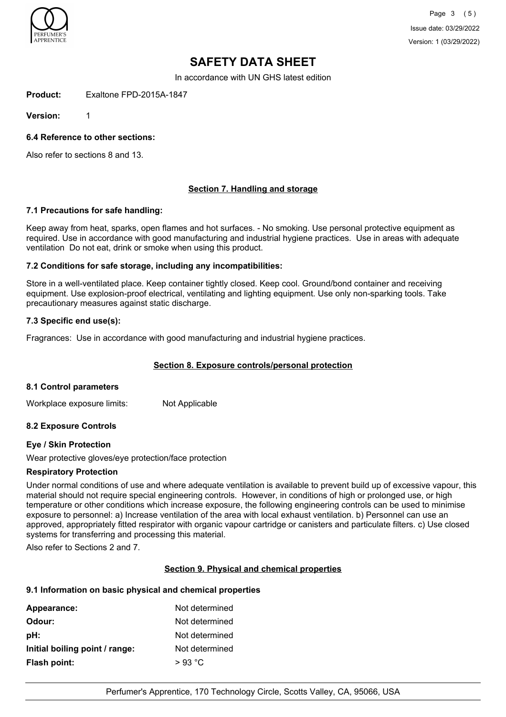

In accordance with UN GHS latest edition

**Product:** Exaltone FPD-2015A-1847

**Version:** 1

**6.4 Reference to other sections:**

Also refer to sections 8 and 13.

## **Section 7. Handling and storage**

### **7.1 Precautions for safe handling:**

Keep away from heat, sparks, open flames and hot surfaces. - No smoking. Use personal protective equipment as required. Use in accordance with good manufacturing and industrial hygiene practices. Use in areas with adequate ventilation Do not eat, drink or smoke when using this product.

### **7.2 Conditions for safe storage, including any incompatibilities:**

Store in a well-ventilated place. Keep container tightly closed. Keep cool. Ground/bond container and receiving equipment. Use explosion-proof electrical, ventilating and lighting equipment. Use only non-sparking tools. Take precautionary measures against static discharge.

## **7.3 Specific end use(s):**

Fragrances: Use in accordance with good manufacturing and industrial hygiene practices.

## **Section 8. Exposure controls/personal protection**

#### **8.1 Control parameters**

Workplace exposure limits: Not Applicable

## **8.2 Exposure Controls**

## **Eye / Skin Protection**

Wear protective gloves/eye protection/face protection

#### **Respiratory Protection**

Under normal conditions of use and where adequate ventilation is available to prevent build up of excessive vapour, this material should not require special engineering controls. However, in conditions of high or prolonged use, or high temperature or other conditions which increase exposure, the following engineering controls can be used to minimise exposure to personnel: a) Increase ventilation of the area with local exhaust ventilation. b) Personnel can use an approved, appropriately fitted respirator with organic vapour cartridge or canisters and particulate filters. c) Use closed systems for transferring and processing this material.

Also refer to Sections 2 and 7.

## **Section 9. Physical and chemical properties**

## **9.1 Information on basic physical and chemical properties**

| Appearance:                    | Not determined |
|--------------------------------|----------------|
| Odour:                         | Not determined |
| pH:                            | Not determined |
| Initial boiling point / range: | Not determined |
| Flash point:                   | $>93$ °C       |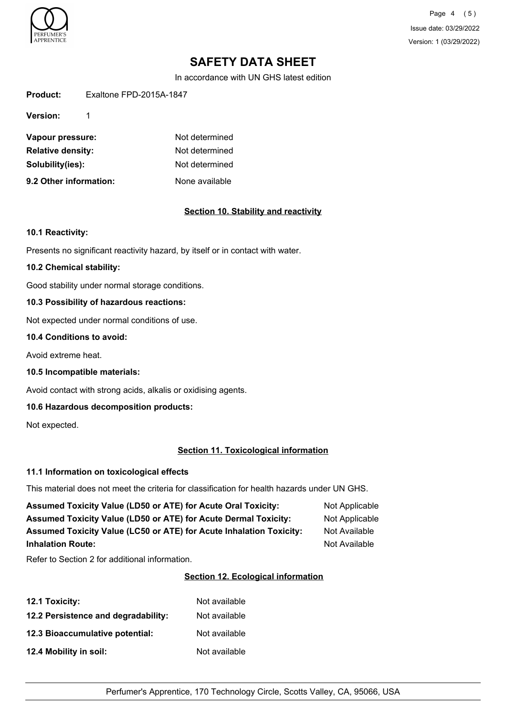

Page 4 (5) Issue date: 03/29/2022 Version: 1 (03/29/2022)

# **SAFETY DATA SHEET**

In accordance with UN GHS latest edition

**Product:** Exaltone FPD-2015A-1847

**Version:** 1

| Vapour pressure:         | Not determined |
|--------------------------|----------------|
| <b>Relative density:</b> | Not determined |
| Solubility(ies):         | Not determined |
| 9.2 Other information:   | None available |

## **Section 10. Stability and reactivity**

### **10.1 Reactivity:**

Presents no significant reactivity hazard, by itself or in contact with water.

### **10.2 Chemical stability:**

Good stability under normal storage conditions.

## **10.3 Possibility of hazardous reactions:**

Not expected under normal conditions of use.

### **10.4 Conditions to avoid:**

Avoid extreme heat.

**10.5 Incompatible materials:**

Avoid contact with strong acids, alkalis or oxidising agents.

## **10.6 Hazardous decomposition products:**

Not expected.

## **Section 11. Toxicological information**

## **11.1 Information on toxicological effects**

This material does not meet the criteria for classification for health hazards under UN GHS.

| <b>Assumed Toxicity Value (LD50 or ATE) for Acute Oral Toxicity:</b>       | Not Applicable |
|----------------------------------------------------------------------------|----------------|
| <b>Assumed Toxicity Value (LD50 or ATE) for Acute Dermal Toxicity:</b>     | Not Applicable |
| <b>Assumed Toxicity Value (LC50 or ATE) for Acute Inhalation Toxicity:</b> | Not Available  |
| <b>Inhalation Route:</b>                                                   | Not Available  |

Refer to Section 2 for additional information.

# **Section 12. Ecological information**

| <b>12.1 Toxicity:</b>               | Not available |
|-------------------------------------|---------------|
| 12.2 Persistence and degradability: | Not available |
| 12.3 Bioaccumulative potential:     | Not available |
| 12.4 Mobility in soil:              | Not available |